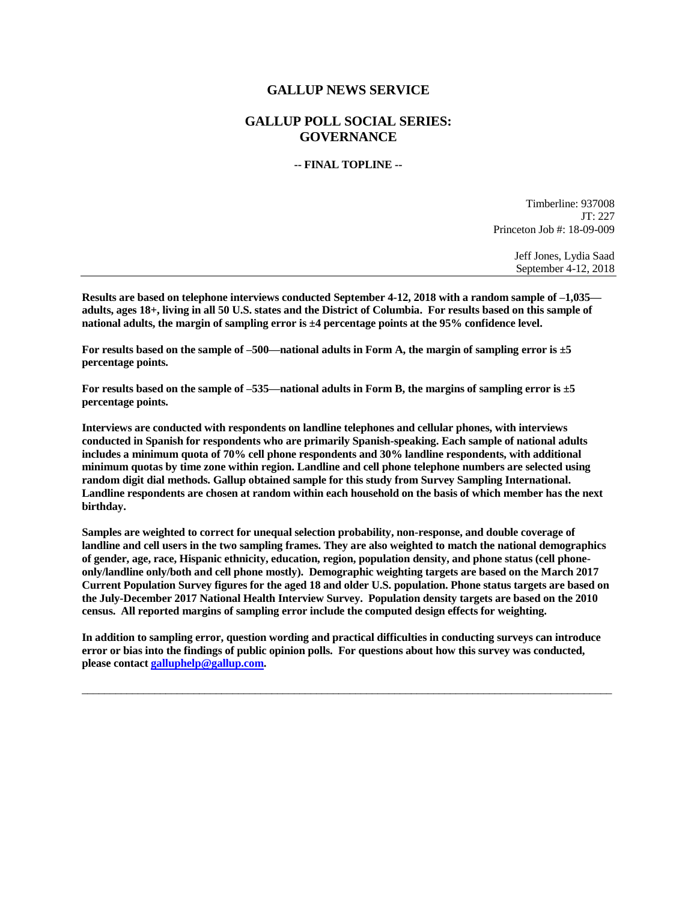## **GALLUP NEWS SERVICE**

## **GALLUP POLL SOCIAL SERIES: GOVERNANCE**

## **-- FINAL TOPLINE --**

Timberline: 937008 JT: 227 Princeton Job #: 18-09-009

> Jeff Jones, Lydia Saad September 4-12, 2018

**Results are based on telephone interviews conducted September 4-12, 2018 with a random sample of –1,035 adults, ages 18+, living in all 50 U.S. states and the District of Columbia. For results based on this sample of national adults, the margin of sampling error is ±4 percentage points at the 95% confidence level.** 

**For results based on the sample of –500—national adults in Form A, the margin of sampling error is ±5 percentage points.**

**For results based on the sample of –535—national adults in Form B, the margins of sampling error is ±5 percentage points.**

**Interviews are conducted with respondents on landline telephones and cellular phones, with interviews conducted in Spanish for respondents who are primarily Spanish-speaking. Each sample of national adults includes a minimum quota of 70% cell phone respondents and 30% landline respondents, with additional minimum quotas by time zone within region. Landline and cell phone telephone numbers are selected using random digit dial methods. Gallup obtained sample for this study from Survey Sampling International. Landline respondents are chosen at random within each household on the basis of which member has the next birthday.**

**Samples are weighted to correct for unequal selection probability, non-response, and double coverage of landline and cell users in the two sampling frames. They are also weighted to match the national demographics of gender, age, race, Hispanic ethnicity, education, region, population density, and phone status (cell phoneonly/landline only/both and cell phone mostly). Demographic weighting targets are based on the March 2017 Current Population Survey figures for the aged 18 and older U.S. population. Phone status targets are based on the July-December 2017 National Health Interview Survey. Population density targets are based on the 2010 census. All reported margins of sampling error include the computed design effects for weighting.** 

**In addition to sampling error, question wording and practical difficulties in conducting surveys can introduce error or bias into the findings of public opinion polls. For questions about how this survey was conducted, please contac[t galluphelp@gallup.com.](mailto:galluphelp@gallup.com)**

 $\overline{\phantom{a}}$  ,  $\overline{\phantom{a}}$  ,  $\overline{\phantom{a}}$  ,  $\overline{\phantom{a}}$  ,  $\overline{\phantom{a}}$  ,  $\overline{\phantom{a}}$  ,  $\overline{\phantom{a}}$  ,  $\overline{\phantom{a}}$  ,  $\overline{\phantom{a}}$  ,  $\overline{\phantom{a}}$  ,  $\overline{\phantom{a}}$  ,  $\overline{\phantom{a}}$  ,  $\overline{\phantom{a}}$  ,  $\overline{\phantom{a}}$  ,  $\overline{\phantom{a}}$  ,  $\overline{\phantom{a}}$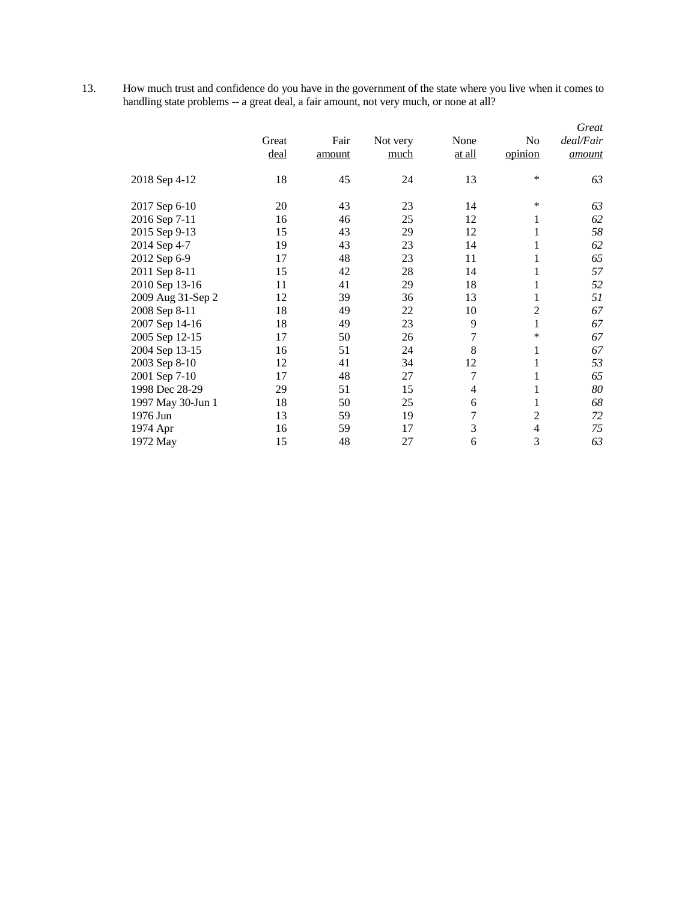13. How much trust and confidence do you have in the government of the state where you live when it comes to handling state problems -- a great deal, a fair amount, not very much, or none at all?

|                   | Great<br>deal | Fair<br>amount | Not very<br>much | None<br>at all   | No<br>opinion  | Great<br>deal/Fair<br>amount |
|-------------------|---------------|----------------|------------------|------------------|----------------|------------------------------|
| 2018 Sep 4-12     | 18            | 45             | 24               | 13               | $\ast$         | 63                           |
| 2017 Sep 6-10     | 20            | 43             | 23               | 14               | $\ast$         | 63                           |
| 2016 Sep 7-11     | 16            | 46             | 25               | 12               | 1              | 62                           |
| 2015 Sep 9-13     | 15            | 43             | 29               | 12               | $\mathbf{1}$   | 58                           |
| 2014 Sep 4-7      | 19            | 43             | 23               | 14               | $\mathbf{1}$   | 62                           |
| 2012 Sep 6-9      | 17            | 48             | 23               | 11               | 1              | 65                           |
| 2011 Sep 8-11     | 15            | 42             | 28               | 14               | $\mathbf 1$    | 57                           |
| 2010 Sep 13-16    | 11            | 41             | 29               | 18               | $\mathbf{1}$   | 52                           |
| 2009 Aug 31-Sep 2 | 12            | 39             | 36               | 13               | 1              | 51                           |
| 2008 Sep 8-11     | 18            | 49             | 22               | 10               | $\overline{c}$ | 67                           |
| 2007 Sep 14-16    | 18            | 49             | 23               | 9                | $\mathbf{1}$   | 67                           |
| 2005 Sep 12-15    | 17            | 50             | 26               | $\boldsymbol{7}$ | $\ast$         | 67                           |
| 2004 Sep 13-15    | 16            | 51             | 24               | 8                | 1              | 67                           |
| 2003 Sep 8-10     | 12            | 41             | 34               | 12               | $\mathbf{1}$   | 53                           |
| 2001 Sep 7-10     | 17            | 48             | 27               | $\tau$           | 1              | 65                           |
| 1998 Dec 28-29    | 29            | 51             | 15               | 4                | $\mathbf{1}$   | 80                           |
| 1997 May 30-Jun 1 | 18            | 50             | 25               | 6                | 1              | 68                           |
| 1976 Jun          | 13            | 59             | 19               | $\overline{7}$   | $\overline{2}$ | 72                           |
| 1974 Apr          | 16            | 59             | 17               | 3                | $\overline{4}$ | 75                           |
| 1972 May          | 15            | 48             | 27               | 6                | 3              | 63                           |